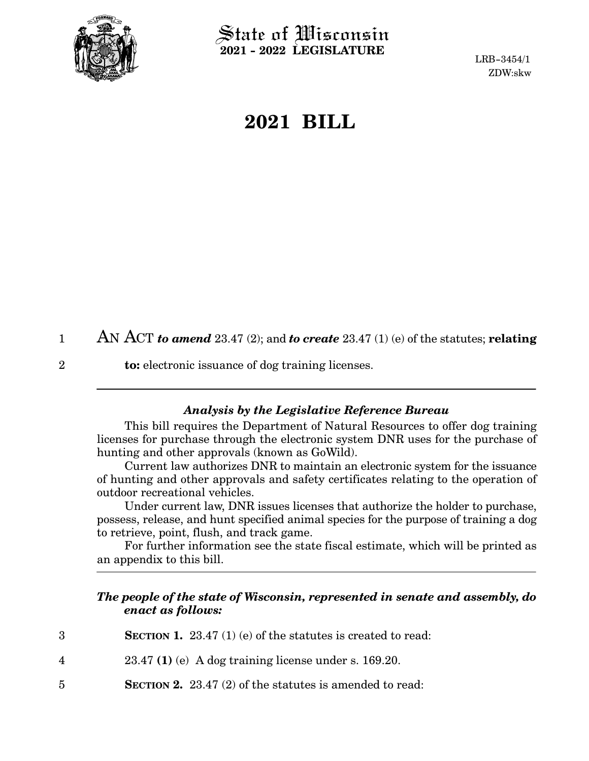

2

 $\operatorname{\mathsf{State}}$  of Wisconsin **2021 - 2022 LEGISLATURE**

LRB-3454/1 ZDW:skw

## **2021 BILL**

|  | AN ACT to amend 23.47 (2); and to create 23.47 (1) (e) of the statutes; relating |
|--|----------------------------------------------------------------------------------|
|--|----------------------------------------------------------------------------------|

**to:** electronic issuance of dog training licenses.

## *Analysis by the Legislative Reference Bureau*

This bill requires the Department of Natural Resources to offer dog training licenses for purchase through the electronic system DNR uses for the purchase of hunting and other approvals (known as GoWild).

Current law authorizes DNR to maintain an electronic system for the issuance of hunting and other approvals and safety certificates relating to the operation of outdoor recreational vehicles.

Under current law, DNR issues licenses that authorize the holder to purchase, possess, release, and hunt specified animal species for the purpose of training a dog to retrieve, point, flush, and track game.

For further information see the state fiscal estimate, which will be printed as an appendix to this bill.

## *The people of the state of Wisconsin, represented in senate and assembly, do enact as follows:*

| 3           | <b>SECTION 1.</b> 23.47 (1) (e) of the statutes is created to read: |
|-------------|---------------------------------------------------------------------|
| 4           | $23.47$ (1) (e) A dog training license under s. 169.20.             |
| $5^{\circ}$ | <b>SECTION 2.</b> 23.47 (2) of the statutes is amended to read:     |